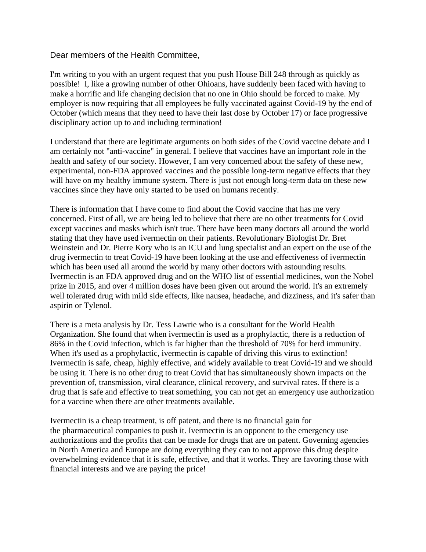## Dear members of the Health Committee,

I'm writing to you with an urgent request that you push House Bill 248 through as quickly as possible! I, like a growing number of other Ohioans, have suddenly been faced with having to make a horrific and life changing decision that no one in Ohio should be forced to make. My employer is now requiring that all employees be fully vaccinated against Covid-19 by the end of October (which means that they need to have their last dose by October 17) or face progressive disciplinary action up to and including termination!

I understand that there are legitimate arguments on both sides of the Covid vaccine debate and I am certainly not "anti-vaccine" in general. I believe that vaccines have an important role in the health and safety of our society. However, I am very concerned about the safety of these new, experimental, non-FDA approved vaccines and the possible long-term negative effects that they will have on my healthy immune system. There is just not enough long-term data on these new vaccines since they have only started to be used on humans recently.

There is information that I have come to find about the Covid vaccine that has me very concerned. First of all, we are being led to believe that there are no other treatments for Covid except vaccines and masks which isn't true. There have been many doctors all around the world stating that they have used ivermectin on their patients. Revolutionary Biologist Dr. Bret Weinstein and Dr. Pierre Kory who is an ICU and lung specialist and an expert on the use of the drug ivermectin to treat Covid-19 have been looking at the use and effectiveness of ivermectin which has been used all around the world by many other doctors with astounding results. Ivermectin is an FDA approved drug and on the WHO list of essential medicines, won the Nobel prize in 2015, and over 4 million doses have been given out around the world. It's an extremely well tolerated drug with mild side effects, like nausea, headache, and dizziness, and it's safer than aspirin or Tylenol.

There is a meta analysis by Dr. Tess Lawrie who is a consultant for the World Health Organization. She found that when ivermectin is used as a prophylactic, there is a reduction of 86% in the Covid infection, which is far higher than the threshold of 70% for herd immunity. When it's used as a prophylactic, ivermectin is capable of driving this virus to extinction! Ivermectin is safe, cheap, highly effective, and widely available to treat Covid-19 and we should be using it. There is no other drug to treat Covid that has simultaneously shown impacts on the prevention of, transmission, viral clearance, clinical recovery, and survival rates. If there is a drug that is safe and effective to treat something, you can not get an emergency use authorization for a vaccine when there are other treatments available.

Ivermectin is a cheap treatment, is off patent, and there is no financial gain for the pharmaceutical companies to push it. Ivermectin is an opponent to the emergency use authorizations and the profits that can be made for drugs that are on patent. Governing agencies in North America and Europe are doing everything they can to not approve this drug despite overwhelming evidence that it is safe, effective, and that it works. They are favoring those with financial interests and we are paying the price!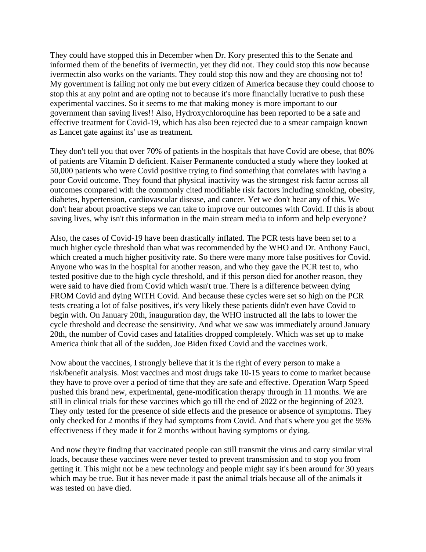They could have stopped this in December when Dr. Kory presented this to the Senate and informed them of the benefits of ivermectin, yet they did not. They could stop this now because ivermectin also works on the variants. They could stop this now and they are choosing not to! My government is failing not only me but every citizen of America because they could choose to stop this at any point and are opting not to because it's more financially lucrative to push these experimental vaccines. So it seems to me that making money is more important to our government than saving lives!! Also, Hydroxychloroquine has been reported to be a safe and effective treatment for Covid-19, which has also been rejected due to a smear campaign known as Lancet gate against its' use as treatment.

They don't tell you that over 70% of patients in the hospitals that have Covid are obese, that 80% of patients are Vitamin D deficient. Kaiser Permanente conducted a study where they looked at 50,000 patients who were Covid positive trying to find something that correlates with having a poor Covid outcome. They found that physical inactivity was the strongest risk factor across all outcomes compared with the commonly cited modifiable risk factors including smoking, obesity, diabetes, hypertension, cardiovascular disease, and cancer. Yet we don't hear any of this. We don't hear about proactive steps we can take to improve our outcomes with Covid. If this is about saving lives, why isn't this information in the main stream media to inform and help everyone?

Also, the cases of Covid-19 have been drastically inflated. The PCR tests have been set to a much higher cycle threshold than what was recommended by the WHO and Dr. Anthony Fauci, which created a much higher positivity rate. So there were many more false positives for Covid. Anyone who was in the hospital for another reason, and who they gave the PCR test to, who tested positive due to the high cycle threshold, and if this person died for another reason, they were said to have died from Covid which wasn't true. There is a difference between dying FROM Covid and dying WITH Covid. And because these cycles were set so high on the PCR tests creating a lot of false positives, it's very likely these patients didn't even have Covid to begin with. On January 20th, inauguration day, the WHO instructed all the labs to lower the cycle threshold and decrease the sensitivity. And what we saw was immediately around January 20th, the number of Covid cases and fatalities dropped completely. Which was set up to make America think that all of the sudden, Joe Biden fixed Covid and the vaccines work.

Now about the vaccines, I strongly believe that it is the right of every person to make a risk/benefit analysis. Most vaccines and most drugs take 10-15 years to come to market because they have to prove over a period of time that they are safe and effective. Operation Warp Speed pushed this brand new, experimental, gene-modification therapy through in 11 months. We are still in clinical trials for these vaccines which go till the end of 2022 or the beginning of 2023. They only tested for the presence of side effects and the presence or absence of symptoms. They only checked for 2 months if they had symptoms from Covid. And that's where you get the 95% effectiveness if they made it for 2 months without having symptoms or dying.

And now they're finding that vaccinated people can still transmit the virus and carry similar viral loads, because these vaccines were never tested to prevent transmission and to stop you from getting it. This might not be a new technology and people might say it's been around for 30 years which may be true. But it has never made it past the animal trials because all of the animals it was tested on have died.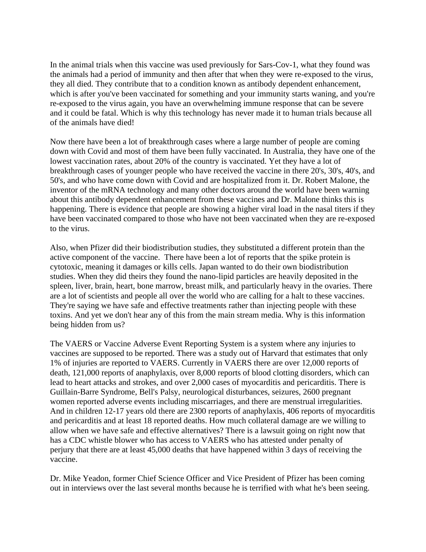In the animal trials when this vaccine was used previously for Sars-Cov-1, what they found was the animals had a period of immunity and then after that when they were re-exposed to the virus, they all died. They contribute that to a condition known as antibody dependent enhancement, which is after you've been vaccinated for something and your immunity starts waning, and you're re-exposed to the virus again, you have an overwhelming immune response that can be severe and it could be fatal. Which is why this technology has never made it to human trials because all of the animals have died!

Now there have been a lot of breakthrough cases where a large number of people are coming down with Covid and most of them have been fully vaccinated. In Australia, they have one of the lowest vaccination rates, about 20% of the country is vaccinated. Yet they have a lot of breakthrough cases of younger people who have received the vaccine in there 20's, 30's, 40's, and 50's, and who have come down with Covid and are hospitalized from it. Dr. Robert Malone, the inventor of the mRNA technology and many other doctors around the world have been warning about this antibody dependent enhancement from these vaccines and Dr. Malone thinks this is happening. There is evidence that people are showing a higher viral load in the nasal titers if they have been vaccinated compared to those who have not been vaccinated when they are re-exposed to the virus.

Also, when Pfizer did their biodistribution studies, they substituted a different protein than the active component of the vaccine. There have been a lot of reports that the spike protein is cytotoxic, meaning it damages or kills cells. Japan wanted to do their own biodistribution studies. When they did theirs they found the nano-lipid particles are heavily deposited in the spleen, liver, brain, heart, bone marrow, breast milk, and particularly heavy in the ovaries. There are a lot of scientists and people all over the world who are calling for a halt to these vaccines. They're saying we have safe and effective treatments rather than injecting people with these toxins. And yet we don't hear any of this from the main stream media. Why is this information being hidden from us?

The VAERS or Vaccine Adverse Event Reporting System is a system where any injuries to vaccines are supposed to be reported. There was a study out of Harvard that estimates that only 1% of injuries are reported to VAERS. Currently in VAERS there are over 12,000 reports of death, 121,000 reports of anaphylaxis, over 8,000 reports of blood clotting disorders, which can lead to heart attacks and strokes, and over 2,000 cases of myocarditis and pericarditis. There is Guillain-Barre Syndrome, Bell's Palsy, neurological disturbances, seizures, 2600 pregnant women reported adverse events including miscarriages, and there are menstrual irregularities. And in children 12-17 years old there are 2300 reports of anaphylaxis, 406 reports of myocarditis and pericarditis and at least 18 reported deaths. How much collateral damage are we willing to allow when we have safe and effective alternatives? There is a lawsuit going on right now that has a CDC whistle blower who has access to VAERS who has attested under penalty of perjury that there are at least 45,000 deaths that have happened within 3 days of receiving the vaccine.

Dr. Mike Yeadon, former Chief Science Officer and Vice President of Pfizer has been coming out in interviews over the last several months because he is terrified with what he's been seeing.